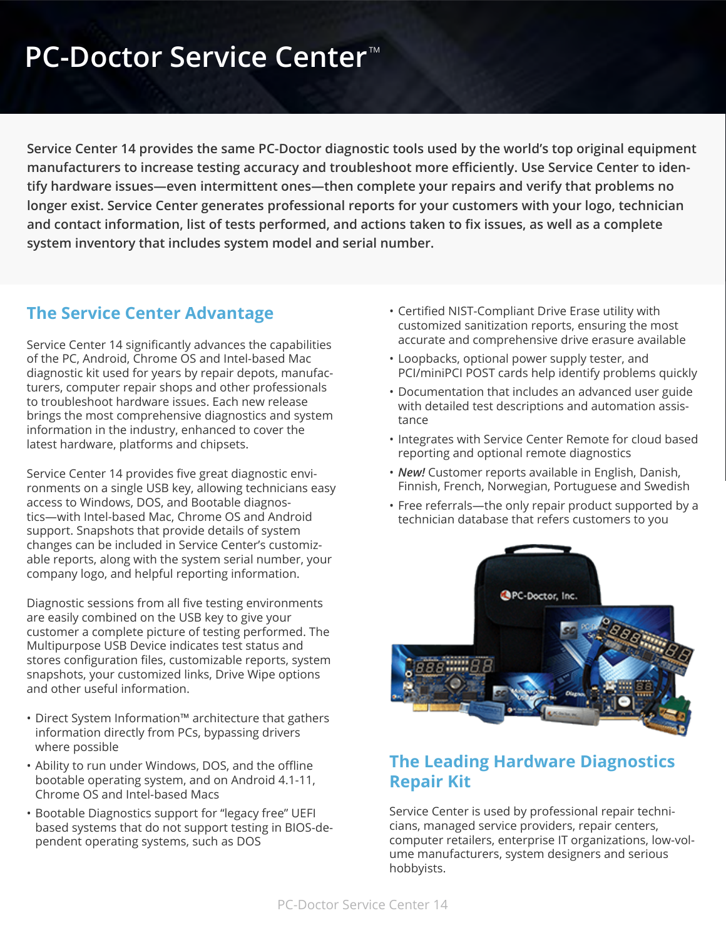# **PC-Doctor Service Center<sup>™</sup>**

**Service Center 14 provides the same PC-Doctor diagnostic tools used by the world's top original equipment manufacturers to increase testing accuracy and troubleshoot more efficiently. Use Service Center to identify hardware issues—even intermittent ones—then complete your repairs and verify that problems no longer exist. Service Center generates professional reports for your customers with your logo, technician and contact information, list of tests performed, and actions taken to fix issues, as well as a complete system inventory that includes system model and serial number.**

#### **The Service Center Advantage**

Service Center 14 significantly advances the capabilities of the PC, Android, Chrome OS and Intel-based Mac diagnostic kit used for years by repair depots, manufacturers, computer repair shops and other professionals to troubleshoot hardware issues. Each new release brings the most comprehensive diagnostics and system information in the industry, enhanced to cover the latest hardware, platforms and chipsets.

Service Center 14 provides five great diagnostic environments on a single USB key, allowing technicians easy access to Windows, DOS, and Bootable diagnostics—with Intel-based Mac, Chrome OS and Android support. Snapshots that provide details of system changes can be included in Service Center's customizable reports, along with the system serial number, your company logo, and helpful reporting information.

Diagnostic sessions from all five testing environments are easily combined on the USB key to give your customer a complete picture of testing performed. The Multipurpose USB Device indicates test status and stores configuration files, customizable reports, system snapshots, your customized links, Drive Wipe options and other useful information.

- Direct System Information™ architecture that gathers information directly from PCs, bypassing drivers where possible
- Ability to run under Windows, DOS, and the offline bootable operating system, and on Android 4.1-11, Chrome OS and Intel-based Macs
- Bootable Diagnostics support for "legacy free" UEFI based systems that do not support testing in BIOS-dependent operating systems, such as DOS
- Certified NIST-Compliant Drive Erase utility with customized sanitization reports, ensuring the most accurate and comprehensive drive erasure available
- Loopbacks, optional power supply tester, and PCI/miniPCI POST cards help identify problems quickly
- Documentation that includes an advanced user guide with detailed test descriptions and automation assistance
- Integrates with Service Center Remote for cloud based reporting and optional remote diagnostics
- *New!* Customer reports available in English, Danish, Finnish, French, Norwegian, Portuguese and Swedish
- Free referrals—the only repair product supported by a technician database that refers customers to you



#### **The Leading Hardware Diagnostics Repair Kit**

Service Center is used by professional repair technicians, managed service providers, repair centers, computer retailers, enterprise IT organizations, low-volume manufacturers, system designers and serious hobbyists.